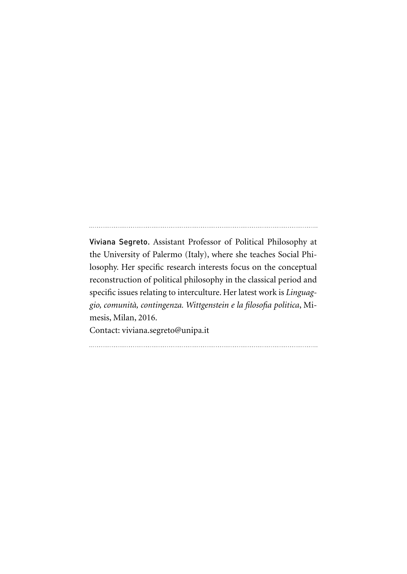Viviana Segreto. Assistant Professor of Political Philosophy at the University of Palermo (Italy), where she teaches Social Philosophy. Her specific research interests focus on the conceptual reconstruction of political philosophy in the classical period and specific issues relating to interculture. Her latest work is *Linguaggio, comunità, contingenza. Wittgenstein e la filosofia politica*, Mimesis, Milan, 2016.

Contact: viviana.segreto@unipa.it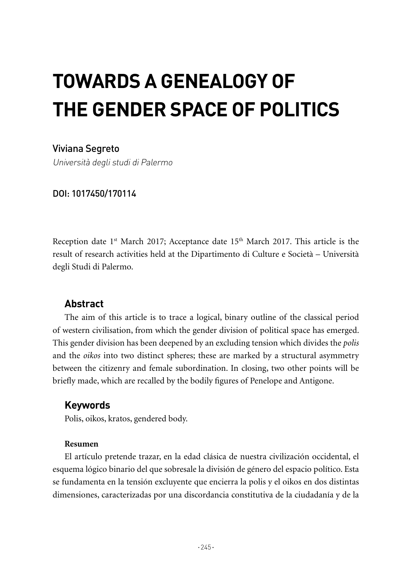# **TOWARDS A GENEALOGY OF THE GENDER SPACE OF POLITICS**

## Viviana Segreto

Università degli studi di Palermo

#### DOI: 1017450/170114

Reception date  $1<sup>st</sup>$  March 2017; Acceptance date  $15<sup>th</sup>$  March 2017. This article is the result of research activities held at the Dipartimento di Culture e Società – Università degli Studi di Palermo.

### **Abstract**

The aim of this article is to trace a logical, binary outline of the classical period of western civilisation, from which the gender division of political space has emerged. This gender division has been deepened by an excluding tension which divides the *polis* and the *oikos* into two distinct spheres; these are marked by a structural asymmetry between the citizenry and female subordination. In closing, two other points will be briefly made, which are recalled by the bodily figures of Penelope and Antigone.

### **Keywords**

Polis, oikos, kratos, gendered body.

#### **Resumen**

El artículo pretende trazar, en la edad clásica de nuestra civilización occidental, el esquema lógico binario del que sobresale la división de género del espacio político. Esta se fundamenta en la tensión excluyente que encierra la polis y el oikos en dos distintas dimensiones, caracterizadas por una discordancia constitutiva de la ciudadanía y de la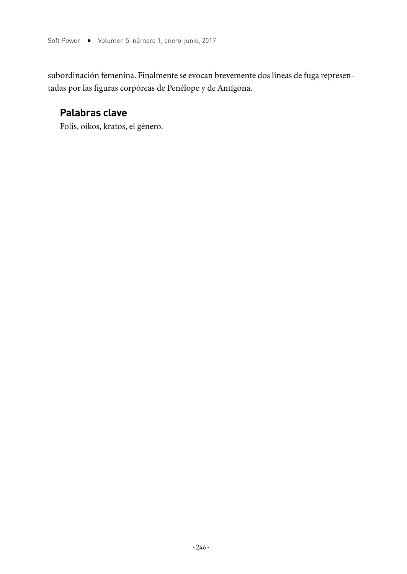subordinación femenina. Finalmente se evocan brevemente dos líneas de fuga representadas por las figuras corpóreas de Penélope y de Antígona.

## **Palabras clave**

Polis, oikos, kratos, el género.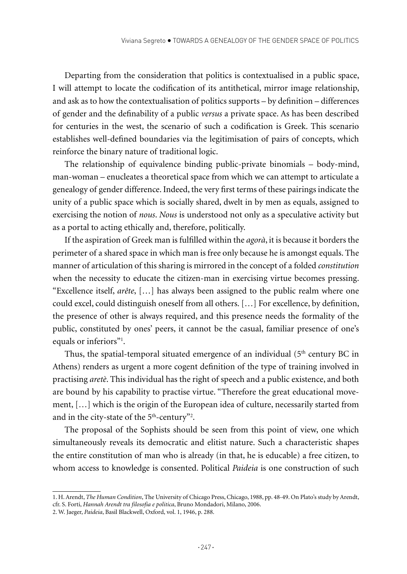Departing from the consideration that politics is contextualised in a public space, I will attempt to locate the codification of its antithetical, mirror image relationship, and ask as to how the contextualisation of politics supports – by definition – differences of gender and the definability of a public *versus* a private space. As has been described for centuries in the west, the scenario of such a codification is Greek. This scenario establishes well-defined boundaries via the legitimisation of pairs of concepts, which reinforce the binary nature of traditional logic.

The relationship of equivalence binding public-private binomials – body-mind, man-woman – enucleates a theoretical space from which we can attempt to articulate a genealogy of gender difference. Indeed, the very first terms of these pairings indicate the unity of a public space which is socially shared, dwelt in by men as equals, assigned to exercising the notion of *nous*. *Nous* is understood not only as a speculative activity but as a portal to acting ethically and, therefore, politically.

If the aspiration of Greek man is fulfilled within the *agorà*, it is because it borders the perimeter of a shared space in which man is free only because he is amongst equals. The manner of articulation of this sharing is mirrored in the concept of a folded *constitution*  when the necessity to educate the citizen-man in exercising virtue becomes pressing. "Excellence itself, *arête*, […] has always been assigned to the public realm where one could excel, could distinguish oneself from all others. […] For excellence, by definition, the presence of other is always required, and this presence needs the formality of the public, constituted by ones' peers, it cannot be the casual, familiar presence of one's equals or inferiors"<sup>1</sup>.

Thus, the spatial-temporal situated emergence of an individual  $(5<sup>th</sup>$  century BC in Athens) renders as urgent a more cogent definition of the type of training involved in practising *aretè*. This individual has the right of speech and a public existence, and both are bound by his capability to practise virtue. "Therefore the great educational movement, […] which is the origin of the European idea of culture, necessarily started from and in the city-state of the  $5<sup>th</sup>$ -century<sup>32</sup>.

The proposal of the Sophists should be seen from this point of view, one which simultaneously reveals its democratic and elitist nature. Such a characteristic shapes the entire constitution of man who is already (in that, he is educable) a free citizen, to whom access to knowledge is consented. Political *Paideia* is one construction of such

<sup>1.</sup> H. Arendt, *The Human Condition*, The University of Chicago Press, Chicago, 1988, pp. 48-49. On Plato's study by Arendt, cfr. S. Forti, *Hannah Arendt tra filosofia e politica*, Bruno Mondadori, Milano, 2006.

<sup>2.</sup> W. Jaeger, *Paideia*, Basil Blackwell, Oxford, vol. 1, 1946, p. 288.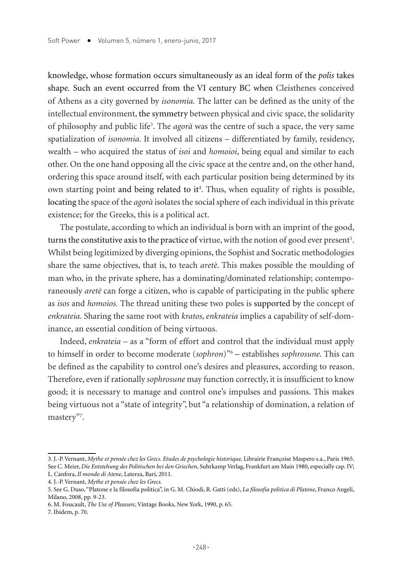knowledge, whose formation occurs simultaneously as an ideal form of the *polis* takes shape*.* Such an event occurred from the VI century BC when Cleisthenes conceived of Athens as a city governed by *isonomia.* The latter can be defined as the unity of the intellectual environment, the symmetry between physical and civic space, the solidarity of philosophy and public life3 . The *agorà* was the centre of such a space, the very same spatialization of *isonomia*. It involved all citizens – differentiated by family, residency, wealth – who acquired the status of *isoi* and *homoioi*, being equal and similar to each other. On the one hand opposing all the civic space at the centre and, on the other hand, ordering this space around itself, with each particular position being determined by its own starting point and being related to it<sup>4</sup>. Thus, when equality of rights is possible, locating the space of the *agorà* isolates the social sphere of each individual in this private existence; for the Greeks, this is a political act.

The postulate, according to which an individual is born with an imprint of the good, turns the constitutive axis to the practice of virtue, with the notion of good ever present<sup>5</sup>. Whilst being legitimized by diverging opinions, the Sophist and Socratic methodologies share the same objectives, that is, to teach *aretè*. This makes possible the moulding of man who, in the private sphere, has a dominating/dominated relationship; contemporaneously *aretè* can forge a citizen, who is capable of participating in the public sphere as *isos* and *homoios.* The thread uniting these two poles is supported by the concept of *enkrateia.* Sharing the same root with *kratos*, *enkrateia* implies a capability of self-dominance, an essential condition of being virtuous.

Indeed, *enkrateia* – as a "form of effort and control that the individual must apply to himself in order to become moderate (*sophron*)"6 – establishes *sophrosune*. This can be defined as the capability to control one's desires and pleasures, according to reason. Therefore, even if rationally *sophrosune* may function correctly, it is insufficient to know good; it is necessary to manage and control one's impulses and passions. This makes being virtuous not a "state of integrity", but "a relationship of domination, a relation of mastery"<sup>7</sup>.

<sup>3.</sup> J.-P. Vernant, *Mythe et pensée chez les Grecs. Etudes de psychologie historique,* Librairie Françoise Maspero s.a., Paris 1965. See C. Meier, *Die Entstehung des Politischen bei den Griechen*, Suhrkamp Verlag, Frankfurt am Main 1980, especially cap. IV; L. Canfora, *Il mondo di Atene*, Laterza, Bari, 2011.

<sup>4.</sup> J.-P. Vernant, *Mythe et pensée chez les Grecs.*

<sup>5.</sup> See G. Duso, "Platone e la filosofia politica", in G. M. Chiodi, R. Gatti (eds), *La filosofia politica di Platone*, Franco Angeli, Milano, 2008, pp. 9-23.

<sup>6.</sup> M. Foucault, *The Use of Pleasure*, Vintage Books, New York, 1990, p. 65.

<sup>7.</sup> Ibidem, p. 70.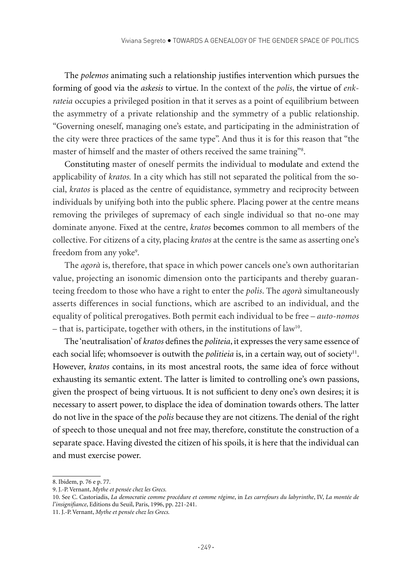The *polemos* animating such a relationship justifies intervention which pursues the forming of good via the *askesis* to virtue. In the context of the *polis*, the virtue of *enkrateia* occupies a privileged position in that it serves as a point of equilibrium between the asymmetry of a private relationship and the symmetry of a public relationship. "Governing oneself, managing one's estate, and participating in the administration of the city were three practices of the same type". And thus it is for this reason that "the master of himself and the master of others received the same training"8 .

Constituting master of oneself permits the individual to modulate and extend the applicability of *kratos.* In a city which has still not separated the political from the social, *kratos* is placed as the centre of equidistance, symmetry and reciprocity between individuals by unifying both into the public sphere. Placing power at the centre means removing the privileges of supremacy of each single individual so that no-one may dominate anyone. Fixed at the centre, *kratos* becomes common to all members of the collective. For citizens of a city, placing *kratos* at the centre is the same as asserting one's freedom from any yoke<sup>9</sup>.

The *agorà* is, therefore, that space in which power cancels one's own authoritarian value, projecting an isonomic dimension onto the participants and thereby guaranteeing freedom to those who have a right to enter the *polis*. The *agorà* simultaneously asserts differences in social functions, which are ascribed to an individual, and the equality of political prerogatives. Both permit each individual to be free – *auto-nomos* – that is, participate, together with others, in the institutions of law<sup>10</sup>.

The 'neutralisation' of *kratos* defines the *politeia*, it expresses the very same essence of each social life; whomsoever is outwith the *politieia* is, in a certain way, out of society<sup>11</sup>. However, *kratos* contains, in its most ancestral roots, the same idea of force without exhausting its semantic extent. The latter is limited to controlling one's own passions, given the prospect of being virtuous. It is not sufficient to deny one's own desires; it is necessary to assert power, to displace the idea of domination towards others. The latter do not live in the space of the *polis* because they are not citizens. The denial of the right of speech to those unequal and not free may, therefore, constitute the construction of a separate space. Having divested the citizen of his spoils, it is here that the individual can and must exercise power.

9. J.-P. Vernant, *Mythe et pensée chez les Grecs.* 

<sup>8.</sup> Ibidem, p. 76 e p. 77.

<sup>10.</sup> See C. Castoriadis, *La democratie comme procédure et comme régime*, in *Les carrefours du labyrinthe*, IV, *La montée de l'insignifiance*, Editions du Seuil, Paris, 1996, pp. 221-241.

<sup>11.</sup> J.-P. Vernant, *Mythe et pensée chez les Grecs.*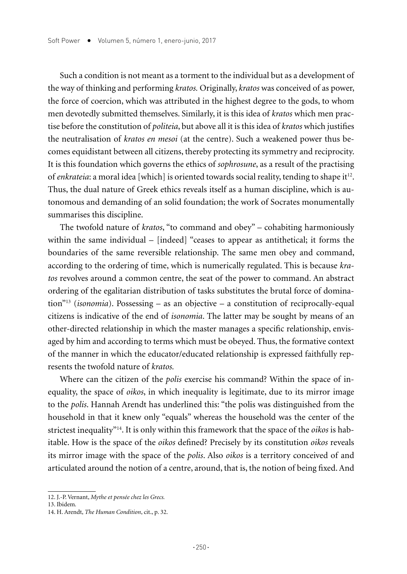Such a condition is not meant as a torment to the individual but as a development of the way of thinking and performing *kratos.* Originally, *kratos* was conceived of as power, the force of coercion, which was attributed in the highest degree to the gods, to whom men devotedly submitted themselves. Similarly, it is this idea of *kratos* which men practise before the constitution of *politeia*, but above all it is this idea of *kratos* which justifies the neutralisation of *kratos en mesoi* (at the centre). Such a weakened power thus becomes equidistant between all citizens, thereby protecting its symmetry and reciprocity. It is this foundation which governs the ethics of *sophrosune*, as a result of the practising of *enkrateia*: a moral idea [which] is oriented towards social reality, tending to shape it<sup>12</sup>. Thus, the dual nature of Greek ethics reveals itself as a human discipline, which is autonomous and demanding of an solid foundation; the work of Socrates monumentally summarises this discipline.

The twofold nature of *kratos*, "to command and obey" – cohabiting harmoniously within the same individual – [indeed] "ceases to appear as antithetical; it forms the boundaries of the same reversible relationship. The same men obey and command, according to the ordering of time, which is numerically regulated. This is because *kratos* revolves around a common centre, the seat of the power to command. An abstract ordering of the egalitarian distribution of tasks substitutes the brutal force of domination"13 (*isonomia*). Possessing – as an objective – a constitution of reciprocally-equal citizens is indicative of the end of *isonomia*. The latter may be sought by means of an other-directed relationship in which the master manages a specific relationship, envisaged by him and according to terms which must be obeyed. Thus, the formative context of the manner in which the educator/educated relationship is expressed faithfully represents the twofold nature of *kratos.*

Where can the citizen of the *polis* exercise his command? Within the space of inequality, the space of *oikos*, in which inequality is legitimate, due to its mirror image to the *polis*. Hannah Arendt has underlined this: "the polis was distinguished from the household in that it knew only "equals" whereas the household was the center of the strictest inequality"14. It is only within this framework that the space of the *oikos* is habitable. How is the space of the *oikos* defined? Precisely by its constitution *oikos* reveals its mirror image with the space of the *polis*. Also *oikos* is a territory conceived of and articulated around the notion of a centre, around, that is, the notion of being fixed. And

<sup>12.</sup> J.-P. Vernant, *Mythe et pensée chez les Grecs.* 

<sup>13.</sup> Ibidem*.*

<sup>14.</sup> H. Arendt, *The Human Condition*, cit., p. 32.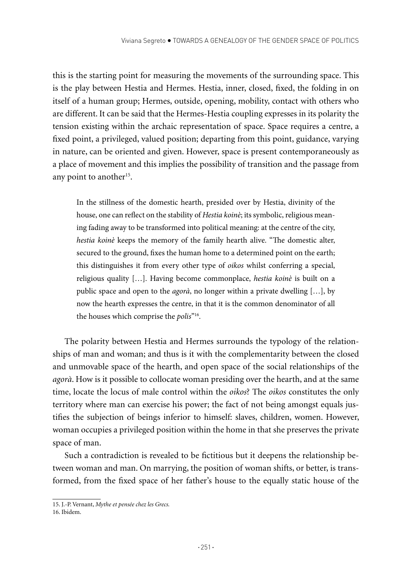this is the starting point for measuring the movements of the surrounding space. This is the play between Hestia and Hermes. Hestia, inner, closed, fixed, the folding in on itself of a human group; Hermes, outside, opening, mobility, contact with others who are different. It can be said that the Hermes-Hestia coupling expresses in its polarity the tension existing within the archaic representation of space. Space requires a centre, a fixed point, a privileged, valued position; departing from this point, guidance, varying in nature, can be oriented and given. However, space is present contemporaneously as a place of movement and this implies the possibility of transition and the passage from any point to another<sup>15</sup>.

In the stillness of the domestic hearth, presided over by Hestia, divinity of the house, one can reflect on the stability of *Hestia koinè*; its symbolic, religious meaning fading away to be transformed into political meaning: at the centre of the city, *hestia koinè* keeps the memory of the family hearth alive. "The domestic alter, secured to the ground, fixes the human home to a determined point on the earth; this distinguishes it from every other type of *oikos* whilst conferring a special, religious quality […]. Having become commonplace, *hestia koinè* is built on a public space and open to the *agorà*, no longer within a private dwelling […], by now the hearth expresses the centre, in that it is the common denominator of all the houses which comprise the *polis*"16.

The polarity between Hestia and Hermes surrounds the typology of the relationships of man and woman; and thus is it with the complementarity between the closed and unmovable space of the hearth, and open space of the social relationships of the *agorà*. How is it possible to collocate woman presiding over the hearth, and at the same time, locate the locus of male control within the *oikos*? The *oikos* constitutes the only territory where man can exercise his power; the fact of not being amongst equals justifies the subjection of beings inferior to himself: slaves, children, women. However, woman occupies a privileged position within the home in that she preserves the private space of man.

Such a contradiction is revealed to be fictitious but it deepens the relationship between woman and man. On marrying, the position of woman shifts, or better, is transformed, from the fixed space of her father's house to the equally static house of the

<sup>15.</sup> J.-P. Vernant, *Mythe et pensée chez les Grecs.* 

<sup>16.</sup> Ibidem.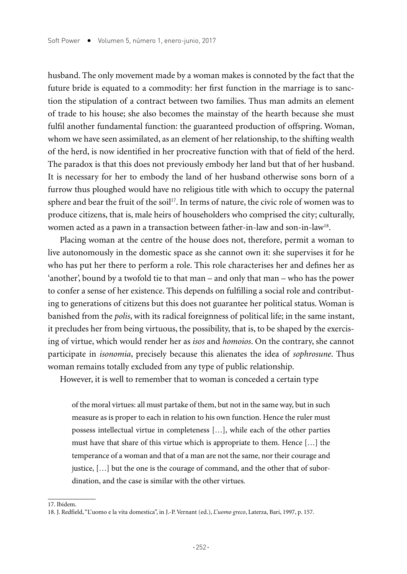husband. The only movement made by a woman makes is connoted by the fact that the future bride is equated to a commodity: her first function in the marriage is to sanction the stipulation of a contract between two families. Thus man admits an element of trade to his house; she also becomes the mainstay of the hearth because she must fulfil another fundamental function: the guaranteed production of offspring. Woman, whom we have seen assimilated, as an element of her relationship, to the shifting wealth of the herd, is now identified in her procreative function with that of field of the herd. The paradox is that this does not previously embody her land but that of her husband. It is necessary for her to embody the land of her husband otherwise sons born of a furrow thus ploughed would have no religious title with which to occupy the paternal sphere and bear the fruit of the soil<sup>17</sup>. In terms of nature, the civic role of women was to produce citizens, that is, male heirs of householders who comprised the city; culturally, women acted as a pawn in a transaction between father-in-law and son-in-law18.

Placing woman at the centre of the house does not, therefore, permit a woman to live autonomously in the domestic space as she cannot own it: she supervises it for he who has put her there to perform a role. This role characterises her and defines her as 'another', bound by a twofold tie to that man – and only that man – who has the power to confer a sense of her existence. This depends on fulfilling a social role and contributing to generations of citizens but this does not guarantee her political status. Woman is banished from the *polis*, with its radical foreignness of political life; in the same instant, it precludes her from being virtuous, the possibility, that is, to be shaped by the exercising of virtue, which would render her as *isos* and *homoios*. On the contrary, she cannot participate in *isonomia*, precisely because this alienates the idea of *sophrosune*. Thus woman remains totally excluded from any type of public relationship.

However, it is well to remember that to woman is conceded a certain type

of the moral virtues: all must partake of them, but not in the same way, but in such measure as is proper to each in relation to his own function. Hence the ruler must possess intellectual virtue in completeness […], while each of the other parties must have that share of this virtue which is appropriate to them. Hence […] the temperance of a woman and that of a man are not the same, nor their courage and justice, […] but the one is the courage of command, and the other that of subordination, and the case is similar with the other virtues.

<sup>17.</sup> Ibidem.

<sup>18.</sup> J. Redfield, "L'uomo e la vita domestica", in J.-P. Vernant (ed.), *L'uomo greco*, Laterza, Bari, 1997, p. 157.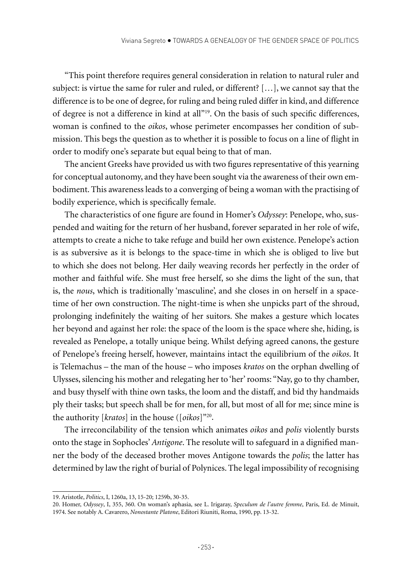"This point therefore requires general consideration in relation to natural ruler and subject: is virtue the same for ruler and ruled, or different? […], we cannot say that the difference is to be one of degree, for ruling and being ruled differ in kind, and difference of degree is not a difference in kind at all"19. On the basis of such specific differences, woman is confined to the *oikos*, whose perimeter encompasses her condition of submission. This begs the question as to whether it is possible to focus on a line of flight in order to modify one's separate but equal being to that of man.

The ancient Greeks have provided us with two figures representative of this yearning for conceptual autonomy, and they have been sought via the awareness of their own embodiment. This awareness leads to a converging of being a woman with the practising of bodily experience, which is specifically female.

The characteristics of one figure are found in Homer's *Odyssey*: Penelope, who, suspended and waiting for the return of her husband, forever separated in her role of wife, attempts to create a niche to take refuge and build her own existence. Penelope's action is as subversive as it is belongs to the space-time in which she is obliged to live but to which she does not belong. Her daily weaving records her perfectly in the order of mother and faithful wife. She must free herself, so she dims the light of the sun, that is, the *nous*, which is traditionally 'masculine', and she closes in on herself in a spacetime of her own construction. The night-time is when she unpicks part of the shroud, prolonging indefinitely the waiting of her suitors. She makes a gesture which locates her beyond and against her role: the space of the loom is the space where she, hiding, is revealed as Penelope, a totally unique being. Whilst defying agreed canons, the gesture of Penelope's freeing herself, however, maintains intact the equilibrium of the *oikos*. It is Telemachus – the man of the house – who imposes *kratos* on the orphan dwelling of Ulysses, silencing his mother and relegating her to 'her' rooms: "Nay, go to thy chamber, and busy thyself with thine own tasks, the loom and the distaff, and bid thy handmaids ply their tasks; but speech shall be for men, for all, but most of all for me; since mine is the authority [*kratos*] in the house ([*oikos*]"20.

The irreconcilability of the tension which animates *oikos* and *polis* violently bursts onto the stage in Sophocles' *Antigone*. The resolute will to safeguard in a dignified manner the body of the deceased brother moves Antigone towards the *polis*; the latter has determined by law the right of burial of Polynices. The legal impossibility of recognising

<sup>19.</sup> Aristotle, *Politics*, I, 1260a, 13, 15-20; 1259b, 30-35.

<sup>20.</sup> Homer, *Odyssey*, I, 355, 360. On woman's aphasia, see L. Irigaray, *Speculum de l'autre femme*, Paris, Ed. de Minuit, 1974. See notably A. Cavarero, *Nonostante Platone*, Editori Riuniti, Roma, 1990, pp. 13-32.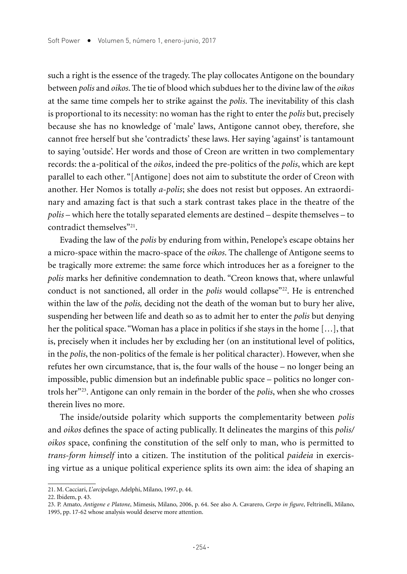such a right is the essence of the tragedy. The play collocates Antigone on the boundary between *polis* and *oikos*. The tie of blood which subdues her to the divine law of the *oikos*  at the same time compels her to strike against the *polis*. The inevitability of this clash is proportional to its necessity: no woman has the right to enter the *polis* but, precisely because she has no knowledge of 'male' laws, Antigone cannot obey, therefore, she cannot free herself but she 'contradicts' these laws. Her saying 'against' is tantamount to saying 'outside'. Her words and those of Creon are written in two complementary records: the a-political of the *oikos*, indeed the pre-politics of the *polis*, which are kept parallel to each other. "[Antigone] does not aim to substitute the order of Creon with another. Her Nomos is totally *a-polis*; she does not resist but opposes. An extraordinary and amazing fact is that such a stark contrast takes place in the theatre of the *polis* – which here the totally separated elements are destined – despite themselves – to contradict themselves"<sup>21</sup>.

Evading the law of the *polis* by enduring from within, Penelope's escape obtains her a micro-space within the macro-space of the *oikos*. The challenge of Antigone seems to be tragically more extreme: the same force which introduces her as a foreigner to the *polis* marks her definitive condemnation to death. "Creon knows that, where unlawful conduct is not sanctioned, all order in the *polis* would collapse<sup>"22</sup>. He is entrenched within the law of the *polis,* deciding not the death of the woman but to bury her alive, suspending her between life and death so as to admit her to enter the *polis* but denying her the political space. "Woman has a place in politics if she stays in the home […], that is, precisely when it includes her by excluding her (on an institutional level of politics, in the *polis*, the non-politics of the female is her political character). However, when she refutes her own circumstance, that is, the four walls of the house – no longer being an impossible, public dimension but an indefinable public space – politics no longer controls her"23. Antigone can only remain in the border of the *polis*, when she who crosses therein lives no more.

The inside/outside polarity which supports the complementarity between *polis*  and *oikos* defines the space of acting publically. It delineates the margins of this *polis/ oikos* space, confining the constitution of the self only to man, who is permitted to *trans-form himself* into a citizen. The institution of the political *paideia* in exercising virtue as a unique political experience splits its own aim: the idea of shaping an

<sup>21.</sup> M. Cacciari, *L'arcipelago*, Adelphi, Milano, 1997, p. 44.

<sup>22.</sup> Ibidem, p. 43.

<sup>23.</sup> P. Amato, *Antigone e Platone*, Mimesis, Milano, 2006, p. 64. See also A. Cavarero, *Corpo in figure*, Feltrinelli, Milano, 1995, pp. 17-62 whose analysis would deserve more attention.